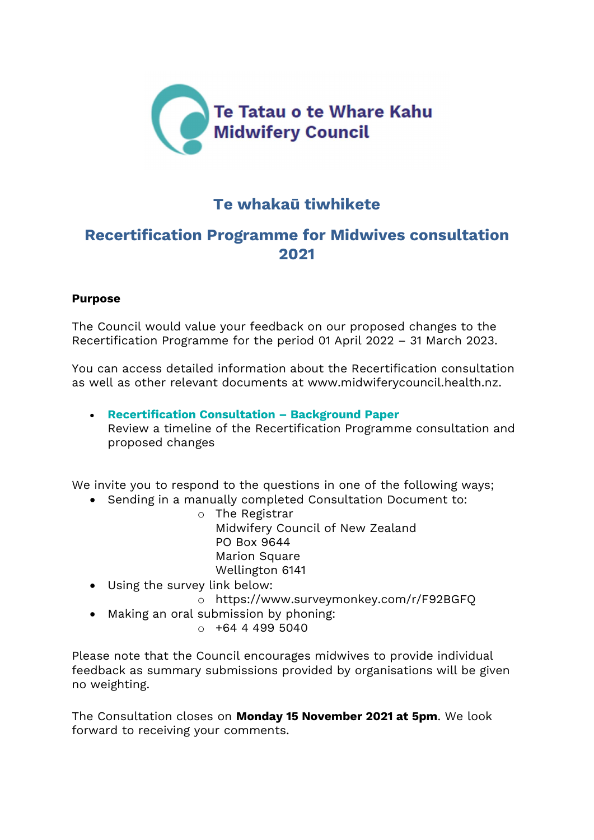

## Te whakaū tiwhikete

### Recertification Programme for Midwives consultation 2021

#### Purpose

The Council would value your feedback on our proposed changes to the Recertification Programme for the period 01 April 2022 – 31 March 2023.

You can access detailed information about the Recertification consultation as well as other relevant documents at www.midwiferycouncil.health.nz.

 Recertification Consultation – Background Paper Review a timeline of the Recertification Programme consultation and proposed changes

We invite you to respond to the questions in one of the following ways;

- Sending in a manually completed Consultation Document to:
	- o The Registrar Midwifery Council of New Zealand PO Box 9644 Marion Square Wellington 6141
- Using the survey link below:
	- o https://www.surveymonkey.com/r/F92BGFQ
- Making an oral submission by phoning:
	- $0 + 64$  4 499 5040

Please note that the Council encourages midwives to provide individual feedback as summary submissions provided by organisations will be given no weighting.

The Consultation closes on Monday 15 November 2021 at 5pm. We look forward to receiving your comments.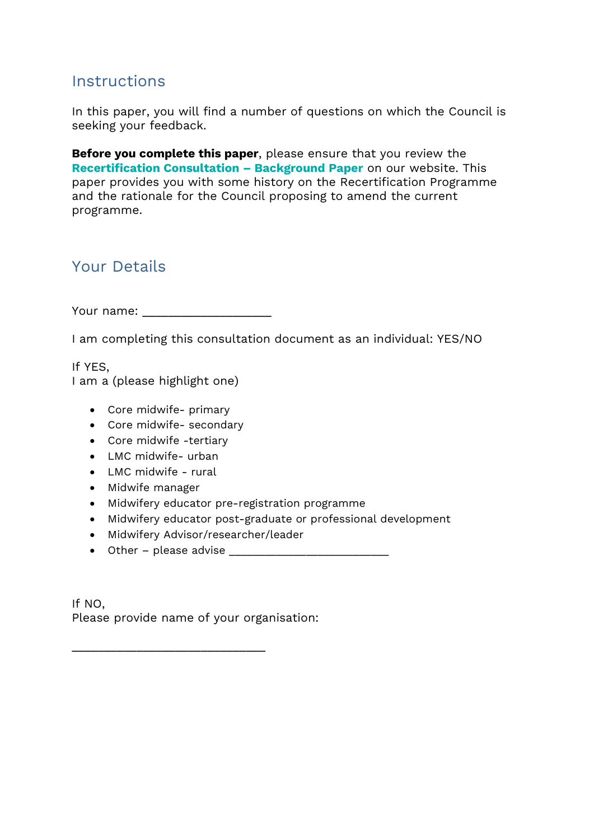### **Instructions**

In this paper, you will find a number of questions on which the Council is seeking your feedback.

Before you complete this paper, please ensure that you review the Recertification Consultation – Background Paper on our website. This paper provides you with some history on the Recertification Programme and the rationale for the Council proposing to amend the current programme.

# Your Details

Your name:  $\blacksquare$ 

I am completing this consultation document as an individual: YES/NO

If YES, I am a (please highlight one)

- Core midwife- primary
- Core midwife- secondary
- Core midwife -tertiary
- LMC midwife- urban
- LMC midwife rural
- Midwife manager
- Midwifery educator pre-registration programme
- Midwifery educator post-graduate or professional development
- Midwifery Advisor/researcher/leader
- Other please advise \_\_\_\_\_\_\_\_\_\_\_\_\_\_\_\_\_\_\_\_\_\_\_\_\_\_\_

\_\_\_\_\_\_\_\_\_\_\_\_\_\_\_\_\_\_\_\_\_\_\_\_\_\_\_\_\_\_

If NO, Please provide name of your organisation: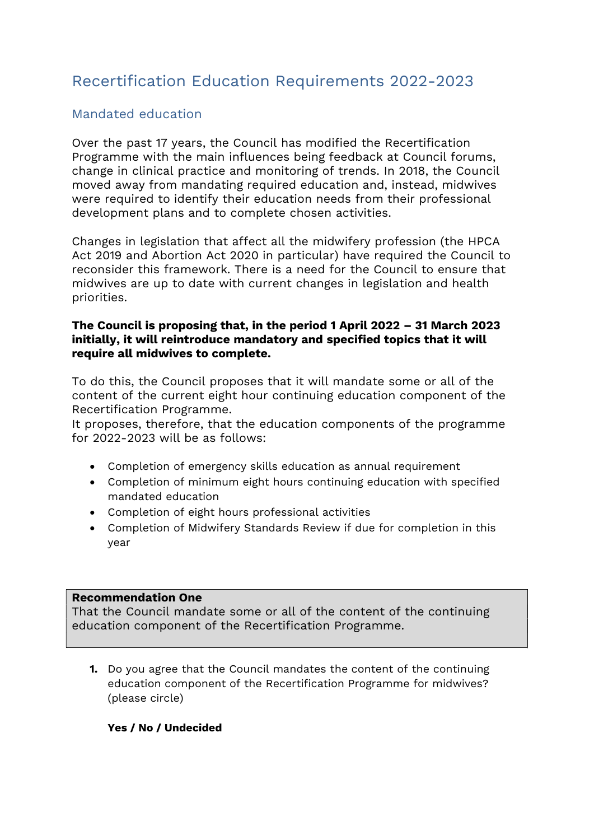# Recertification Education Requirements 2022-2023

### Mandated education

Over the past 17 years, the Council has modified the Recertification Programme with the main influences being feedback at Council forums, change in clinical practice and monitoring of trends. In 2018, the Council moved away from mandating required education and, instead, midwives were required to identify their education needs from their professional development plans and to complete chosen activities.

Changes in legislation that affect all the midwifery profession (the HPCA Act 2019 and Abortion Act 2020 in particular) have required the Council to reconsider this framework. There is a need for the Council to ensure that midwives are up to date with current changes in legislation and health priorities.

#### The Council is proposing that, in the period 1 April 2022 – 31 March 2023 initially, it will reintroduce mandatory and specified topics that it will require all midwives to complete.

To do this, the Council proposes that it will mandate some or all of the content of the current eight hour continuing education component of the Recertification Programme.

It proposes, therefore, that the education components of the programme for 2022-2023 will be as follows:

- Completion of emergency skills education as annual requirement
- Completion of minimum eight hours continuing education with specified mandated education
- Completion of eight hours professional activities
- Completion of Midwifery Standards Review if due for completion in this year

#### Recommendation One

That the Council mandate some or all of the content of the continuing education component of the Recertification Programme.

1. Do you agree that the Council mandates the content of the continuing education component of the Recertification Programme for midwives? (please circle)

#### Yes / No / Undecided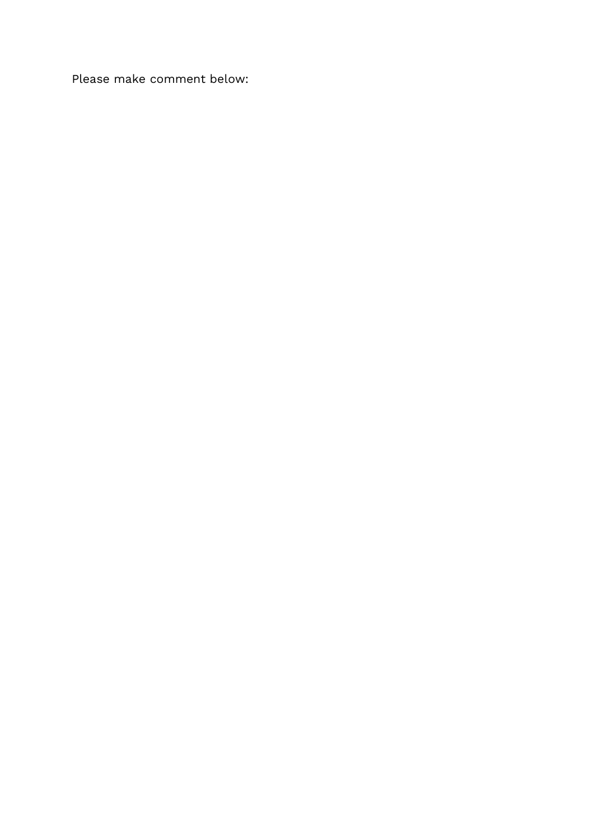Please make comment below: